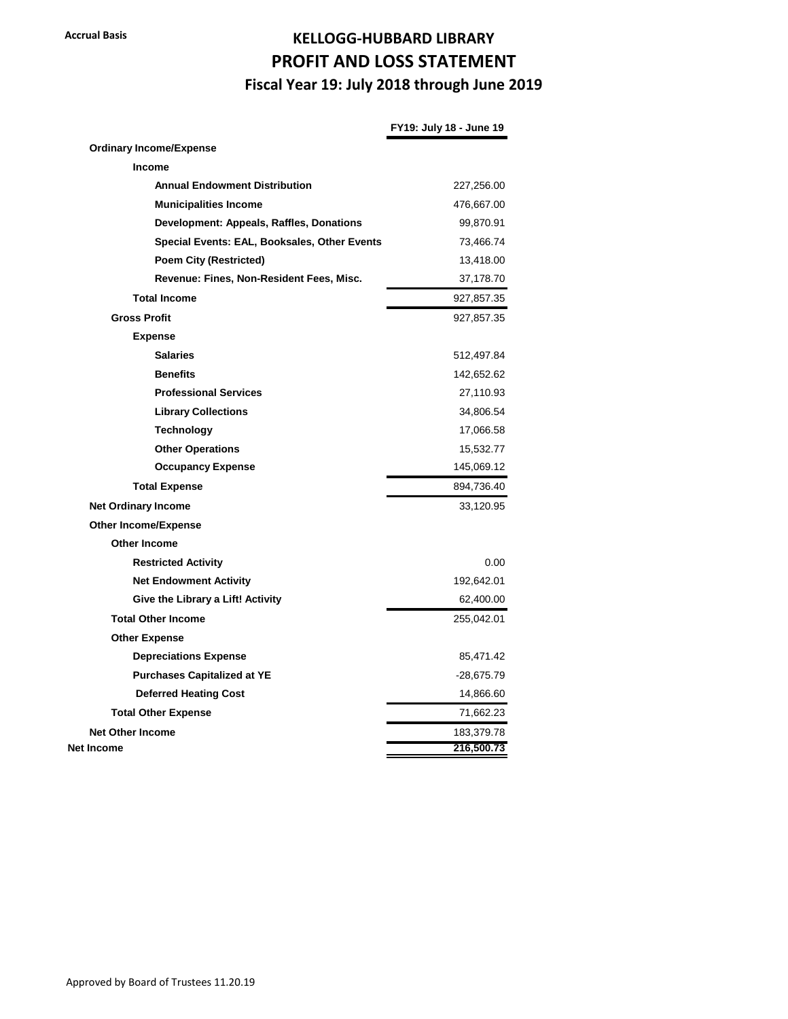## **Accrual Basis KELLOGG-HUBBARD LIBRARY PROFIT AND LOSS STATEMENT Fiscal Year 19: July 2018 through June 2019**

|                                              | $113.$ Vuly 10 – Vulle 19 |
|----------------------------------------------|---------------------------|
| <b>Ordinary Income/Expense</b>               |                           |
| <b>Income</b>                                |                           |
| <b>Annual Endowment Distribution</b>         | 227,256.00                |
| <b>Municipalities Income</b>                 | 476,667.00                |
| Development: Appeals, Raffles, Donations     | 99,870.91                 |
| Special Events: EAL, Booksales, Other Events | 73,466.74                 |
| <b>Poem City (Restricted)</b>                | 13,418.00                 |
| Revenue: Fines, Non-Resident Fees, Misc.     | 37,178.70                 |
| <b>Total Income</b>                          | 927,857.35                |
| <b>Gross Profit</b>                          | 927,857.35                |
| <b>Expense</b>                               |                           |
| <b>Salaries</b>                              | 512,497.84                |
| <b>Benefits</b>                              | 142,652.62                |
| <b>Professional Services</b>                 | 27,110.93                 |
| <b>Library Collections</b>                   | 34,806.54                 |
| <b>Technology</b>                            | 17,066.58                 |
| <b>Other Operations</b>                      | 15,532.77                 |
| <b>Occupancy Expense</b>                     | 145,069.12                |
| <b>Total Expense</b>                         | 894,736.40                |
| <b>Net Ordinary Income</b>                   | 33,120.95                 |
| <b>Other Income/Expense</b>                  |                           |
| <b>Other Income</b>                          |                           |
| <b>Restricted Activity</b>                   | 0.00                      |
| <b>Net Endowment Activity</b>                | 192,642.01                |
| Give the Library a Lift! Activity            | 62,400.00                 |
| <b>Total Other Income</b>                    | 255,042.01                |
| <b>Other Expense</b>                         |                           |
| <b>Depreciations Expense</b>                 | 85,471.42                 |
| <b>Purchases Capitalized at YE</b>           | -28,675.79                |
| <b>Deferred Heating Cost</b>                 | 14,866.60                 |
| <b>Total Other Expense</b>                   | 71,662.23                 |
| <b>Net Other Income</b>                      | 183,379.78                |
| <b>Net Income</b>                            | 216,500.73                |

## **FY19: July 18 - June 19**